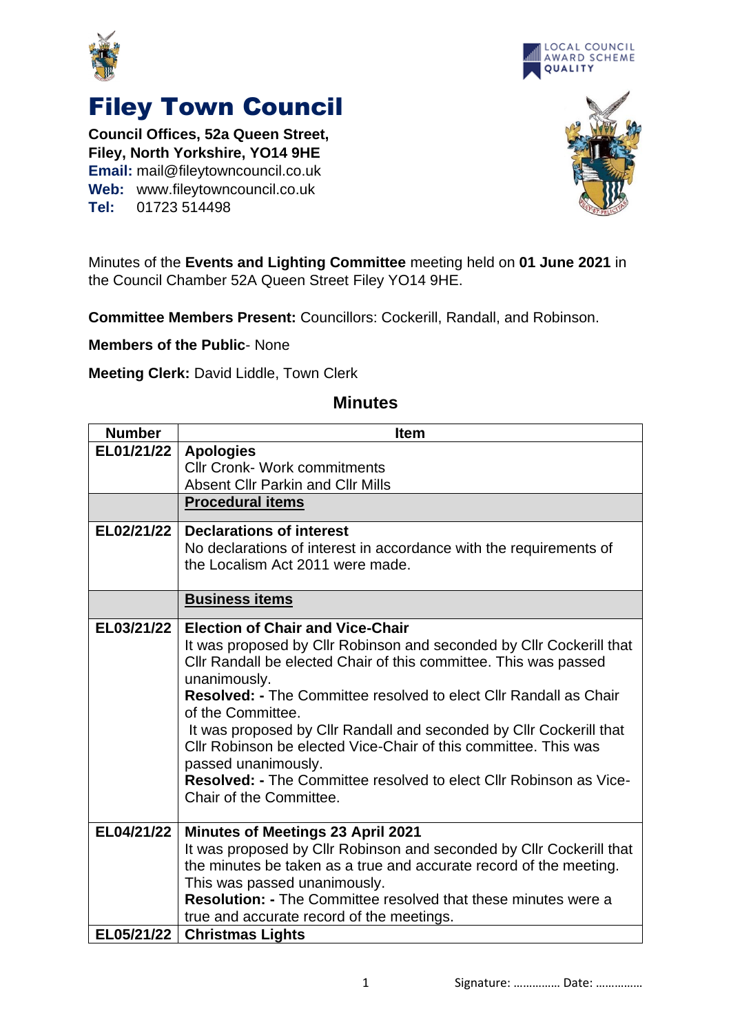



## Filey Town Council

**Council Offices, 52a Queen Street, Filey, North Yorkshire, YO14 9HE Email:** mail@fileytowncouncil.co.uk **Web:** www.fileytowncouncil.co.uk **Tel:** 01723 514498



Minutes of the **Events and Lighting Committee** meeting held on **01 June 2021** in the Council Chamber 52A Queen Street Filey YO14 9HE.

**Committee Members Present:** Councillors: Cockerill, Randall, and Robinson.

**Members of the Public**- None

**Meeting Clerk:** David Liddle, Town Clerk

## **Number Item EL01/21/22 Apologies** Cllr Cronk- Work commitments Absent Cllr Parkin and Cllr Mills **Procedural items EL02/21/22 Declarations of interest** No declarations of interest in accordance with the requirements of the Localism Act 2011 were made. **Business items EL03/21/22 Election of Chair and Vice-Chair** It was proposed by Cllr Robinson and seconded by Cllr Cockerill that Cllr Randall be elected Chair of this committee. This was passed unanimously. **Resolved: -** The Committee resolved to elect Cllr Randall as Chair of the Committee. It was proposed by Cllr Randall and seconded by Cllr Cockerill that Cllr Robinson be elected Vice-Chair of this committee. This was passed unanimously. **Resolved: -** The Committee resolved to elect Cllr Robinson as Vice-Chair of the Committee. **EL04/21/22 Minutes of Meetings 23 April 2021** It was proposed by Cllr Robinson and seconded by Cllr Cockerill that the minutes be taken as a true and accurate record of the meeting. This was passed unanimously. **Resolution: -** The Committee resolved that these minutes were a true and accurate record of the meetings. **EL05/21/22 Christmas Lights**

## **Minutes**